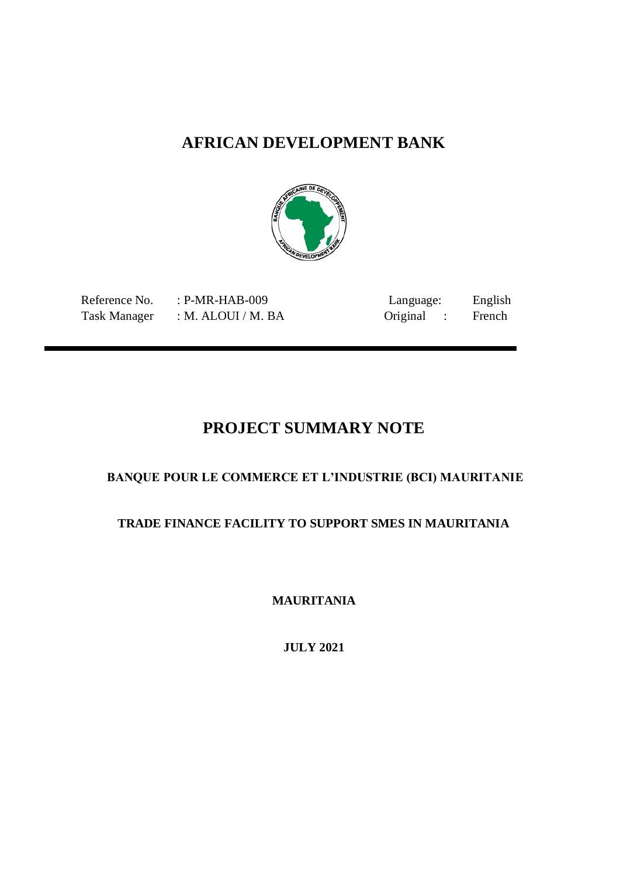## **AFRICAN DEVELOPMENT BANK**



Task Manager : M. ALOUI / M. BA

Reference No. : P-MR-HAB-009 Language: English<br>Task Manager : M. ALOUI / M. BA Original : French

## **PROJECT SUMMARY NOTE**

## **BANQUE POUR LE COMMERCE ET L'INDUSTRIE (BCI) MAURITANIE**

## **TRADE FINANCE FACILITY TO SUPPORT SMES IN MAURITANIA**

**MAURITANIA** 

**JULY 2021**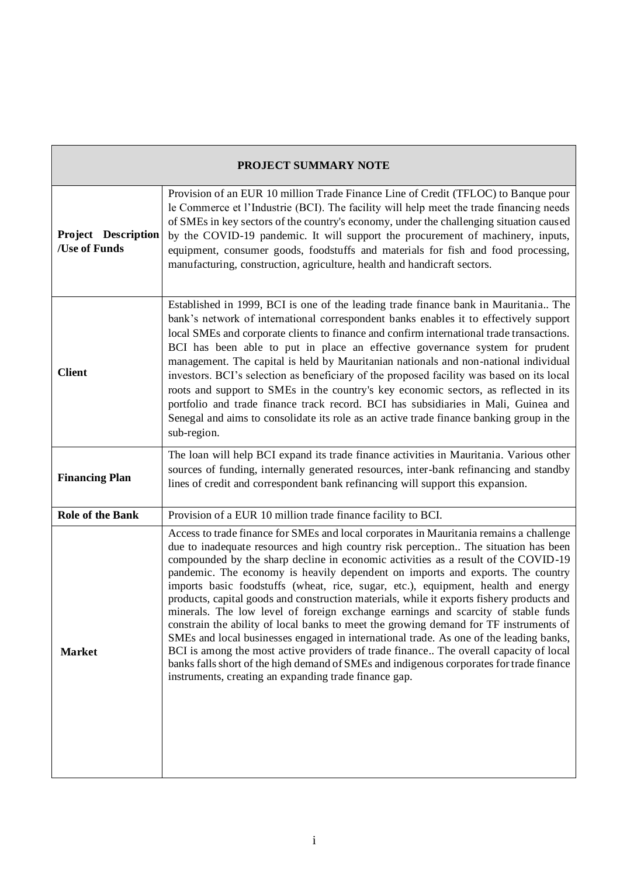| PROJECT SUMMARY NOTE                 |                                                                                                                                                                                                                                                                                                                                                                                                                                                                                                                                                                                                                                                                                                                                                                                                                                                                                                                                                                                                                                                                |
|--------------------------------------|----------------------------------------------------------------------------------------------------------------------------------------------------------------------------------------------------------------------------------------------------------------------------------------------------------------------------------------------------------------------------------------------------------------------------------------------------------------------------------------------------------------------------------------------------------------------------------------------------------------------------------------------------------------------------------------------------------------------------------------------------------------------------------------------------------------------------------------------------------------------------------------------------------------------------------------------------------------------------------------------------------------------------------------------------------------|
| Project Description<br>/Use of Funds | Provision of an EUR 10 million Trade Finance Line of Credit (TFLOC) to Banque pour<br>le Commerce et l'Industrie (BCI). The facility will help meet the trade financing needs<br>of SMEs in key sectors of the country's economy, under the challenging situation caused<br>by the COVID-19 pandemic. It will support the procurement of machinery, inputs,<br>equipment, consumer goods, foodstuffs and materials for fish and food processing,<br>manufacturing, construction, agriculture, health and handicraft sectors.                                                                                                                                                                                                                                                                                                                                                                                                                                                                                                                                   |
| <b>Client</b>                        | Established in 1999, BCI is one of the leading trade finance bank in Mauritania The<br>bank's network of international correspondent banks enables it to effectively support<br>local SMEs and corporate clients to finance and confirm international trade transactions.<br>BCI has been able to put in place an effective governance system for prudent<br>management. The capital is held by Mauritanian nationals and non-national individual<br>investors. BCI's selection as beneficiary of the proposed facility was based on its local<br>roots and support to SMEs in the country's key economic sectors, as reflected in its<br>portfolio and trade finance track record. BCI has subsidiaries in Mali, Guinea and<br>Senegal and aims to consolidate its role as an active trade finance banking group in the<br>sub-region.                                                                                                                                                                                                                        |
| <b>Financing Plan</b>                | The loan will help BCI expand its trade finance activities in Mauritania. Various other<br>sources of funding, internally generated resources, inter-bank refinancing and standby<br>lines of credit and correspondent bank refinancing will support this expansion.                                                                                                                                                                                                                                                                                                                                                                                                                                                                                                                                                                                                                                                                                                                                                                                           |
| <b>Role of the Bank</b>              | Provision of a EUR 10 million trade finance facility to BCI.                                                                                                                                                                                                                                                                                                                                                                                                                                                                                                                                                                                                                                                                                                                                                                                                                                                                                                                                                                                                   |
| <b>Market</b>                        | Access to trade finance for SMEs and local corporates in Mauritania remains a challenge<br>due to inadequate resources and high country risk perception The situation has been<br>compounded by the sharp decline in economic activities as a result of the COVID-19<br>pandemic. The economy is heavily dependent on imports and exports. The country<br>imports basic foodstuffs (wheat, rice, sugar, etc.), equipment, health and energy<br>products, capital goods and construction materials, while it exports fishery products and<br>minerals. The low level of foreign exchange earnings and scarcity of stable funds<br>constrain the ability of local banks to meet the growing demand for TF instruments of<br>SMEs and local businesses engaged in international trade. As one of the leading banks,<br>BCI is among the most active providers of trade finance The overall capacity of local<br>banks falls short of the high demand of SMEs and indigenous corporates for trade finance<br>instruments, creating an expanding trade finance gap. |